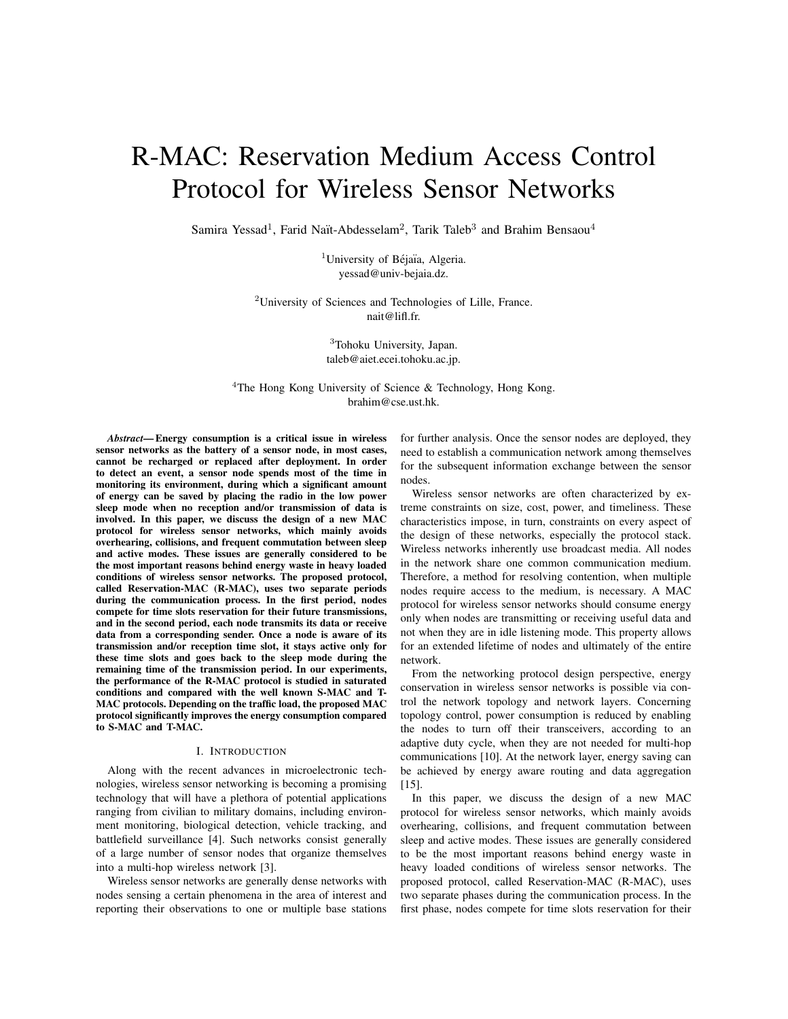# R-MAC: Reservation Medium Access Control Protocol for Wireless Sensor Networks

Samira Yessad<sup>1</sup>, Farid Naït-Abdesselam<sup>2</sup>, Tarik Taleb<sup>3</sup> and Brahim Bensaou<sup>4</sup>

<sup>1</sup>University of Béjaïa, Algeria. yessad@univ-bejaia.dz.

<sup>2</sup>University of Sciences and Technologies of Lille, France. nait@lifl.fr.

> <sup>3</sup>Tohoku University, Japan. taleb@aiet.ecei.tohoku.ac.jp.

<sup>4</sup>The Hong Kong University of Science & Technology, Hong Kong. brahim@cse.ust.hk.

*Abstract***— Energy consumption is a critical issue in wireless sensor networks as the battery of a sensor node, in most cases, cannot be recharged or replaced after deployment. In order to detect an event, a sensor node spends most of the time in monitoring its environment, during which a significant amount of energy can be saved by placing the radio in the low power sleep mode when no reception and/or transmission of data is involved. In this paper, we discuss the design of a new MAC protocol for wireless sensor networks, which mainly avoids overhearing, collisions, and frequent commutation between sleep and active modes. These issues are generally considered to be the most important reasons behind energy waste in heavy loaded conditions of wireless sensor networks. The proposed protocol, called Reservation-MAC (R-MAC), uses two separate periods during the communication process. In the first period, nodes compete for time slots reservation for their future transmissions, and in the second period, each node transmits its data or receive data from a corresponding sender. Once a node is aware of its transmission and/or reception time slot, it stays active only for these time slots and goes back to the sleep mode during the remaining time of the transmission period. In our experiments, the performance of the R-MAC protocol is studied in saturated conditions and compared with the well known S-MAC and T-MAC protocols. Depending on the traffic load, the proposed MAC protocol significantly improves the energy consumption compared to S-MAC and T-MAC.**

# I. INTRODUCTION

Along with the recent advances in microelectronic technologies, wireless sensor networking is becoming a promising technology that will have a plethora of potential applications ranging from civilian to military domains, including environment monitoring, biological detection, vehicle tracking, and battlefield surveillance [4]. Such networks consist generally of a large number of sensor nodes that organize themselves into a multi-hop wireless network [3].

Wireless sensor networks are generally dense networks with nodes sensing a certain phenomena in the area of interest and reporting their observations to one or multiple base stations

for further analysis. Once the sensor nodes are deployed, they need to establish a communication network among themselves for the subsequent information exchange between the sensor nodes.

Wireless sensor networks are often characterized by extreme constraints on size, cost, power, and timeliness. These characteristics impose, in turn, constraints on every aspect of the design of these networks, especially the protocol stack. Wireless networks inherently use broadcast media. All nodes in the network share one common communication medium. Therefore, a method for resolving contention, when multiple nodes require access to the medium, is necessary. A MAC protocol for wireless sensor networks should consume energy only when nodes are transmitting or receiving useful data and not when they are in idle listening mode. This property allows for an extended lifetime of nodes and ultimately of the entire network.

From the networking protocol design perspective, energy conservation in wireless sensor networks is possible via control the network topology and network layers. Concerning topology control, power consumption is reduced by enabling the nodes to turn off their transceivers, according to an adaptive duty cycle, when they are not needed for multi-hop communications [10]. At the network layer, energy saving can be achieved by energy aware routing and data aggregation [15].

In this paper, we discuss the design of a new MAC protocol for wireless sensor networks, which mainly avoids overhearing, collisions, and frequent commutation between sleep and active modes. These issues are generally considered to be the most important reasons behind energy waste in heavy loaded conditions of wireless sensor networks. The proposed protocol, called Reservation-MAC (R-MAC), uses two separate phases during the communication process. In the first phase, nodes compete for time slots reservation for their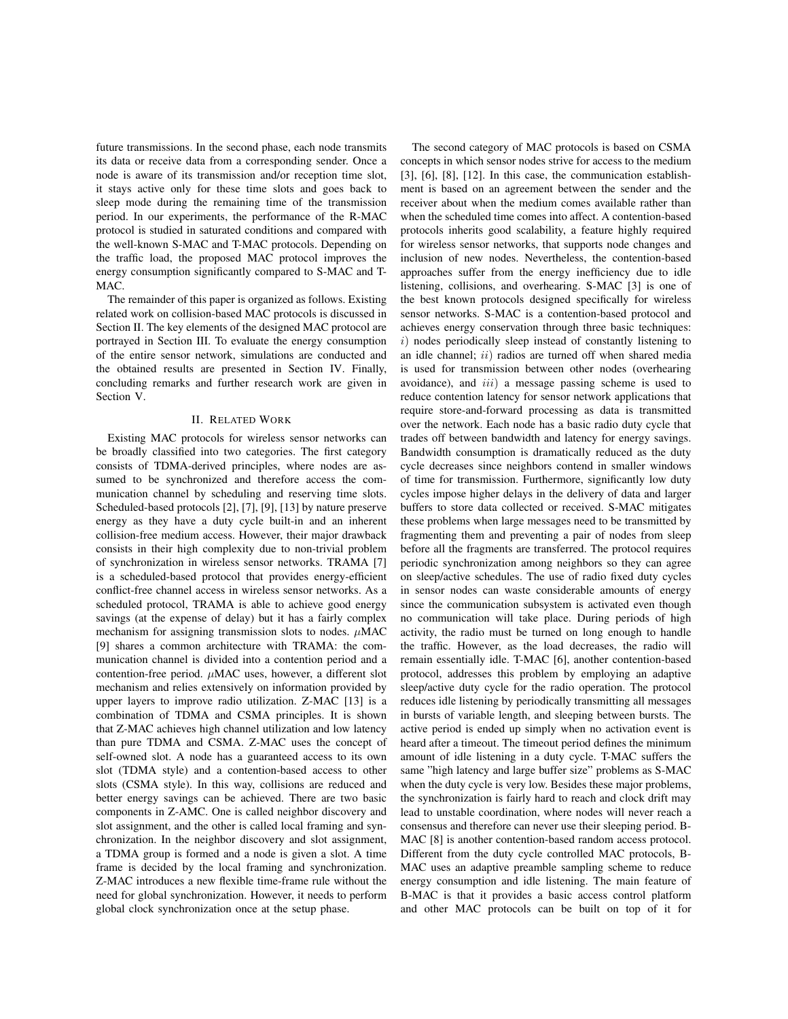future transmissions. In the second phase, each node transmits its data or receive data from a corresponding sender. Once a node is aware of its transmission and/or reception time slot, it stays active only for these time slots and goes back to sleep mode during the remaining time of the transmission period. In our experiments, the performance of the R-MAC protocol is studied in saturated conditions and compared with the well-known S-MAC and T-MAC protocols. Depending on the traffic load, the proposed MAC protocol improves the energy consumption significantly compared to S-MAC and T-MAC.

The remainder of this paper is organized as follows. Existing related work on collision-based MAC protocols is discussed in Section II. The key elements of the designed MAC protocol are portrayed in Section III. To evaluate the energy consumption of the entire sensor network, simulations are conducted and the obtained results are presented in Section IV. Finally, concluding remarks and further research work are given in Section V.

# II. RELATED WORK

Existing MAC protocols for wireless sensor networks can be broadly classified into two categories. The first category consists of TDMA-derived principles, where nodes are assumed to be synchronized and therefore access the communication channel by scheduling and reserving time slots. Scheduled-based protocols [2], [7], [9], [13] by nature preserve energy as they have a duty cycle built-in and an inherent collision-free medium access. However, their major drawback consists in their high complexity due to non-trivial problem of synchronization in wireless sensor networks. TRAMA [7] is a scheduled-based protocol that provides energy-efficient conflict-free channel access in wireless sensor networks. As a scheduled protocol, TRAMA is able to achieve good energy savings (at the expense of delay) but it has a fairly complex mechanism for assigning transmission slots to nodes.  $\mu$ MAC [9] shares a common architecture with TRAMA: the communication channel is divided into a contention period and a contention-free period. *µ*MAC uses, however, a different slot mechanism and relies extensively on information provided by upper layers to improve radio utilization. Z-MAC [13] is a combination of TDMA and CSMA principles. It is shown that Z-MAC achieves high channel utilization and low latency than pure TDMA and CSMA. Z-MAC uses the concept of self-owned slot. A node has a guaranteed access to its own slot (TDMA style) and a contention-based access to other slots (CSMA style). In this way, collisions are reduced and better energy savings can be achieved. There are two basic components in Z-AMC. One is called neighbor discovery and slot assignment, and the other is called local framing and synchronization. In the neighbor discovery and slot assignment, a TDMA group is formed and a node is given a slot. A time frame is decided by the local framing and synchronization. Z-MAC introduces a new flexible time-frame rule without the need for global synchronization. However, it needs to perform global clock synchronization once at the setup phase.

The second category of MAC protocols is based on CSMA concepts in which sensor nodes strive for access to the medium [3], [6], [8], [12]. In this case, the communication establishment is based on an agreement between the sender and the receiver about when the medium comes available rather than when the scheduled time comes into affect. A contention-based protocols inherits good scalability, a feature highly required for wireless sensor networks, that supports node changes and inclusion of new nodes. Nevertheless, the contention-based approaches suffer from the energy inefficiency due to idle listening, collisions, and overhearing. S-MAC [3] is one of the best known protocols designed specifically for wireless sensor networks. S-MAC is a contention-based protocol and achieves energy conservation through three basic techniques: *i*) nodes periodically sleep instead of constantly listening to an idle channel; *ii*) radios are turned off when shared media is used for transmission between other nodes (overhearing avoidance), and *iii*) a message passing scheme is used to reduce contention latency for sensor network applications that require store-and-forward processing as data is transmitted over the network. Each node has a basic radio duty cycle that trades off between bandwidth and latency for energy savings. Bandwidth consumption is dramatically reduced as the duty cycle decreases since neighbors contend in smaller windows of time for transmission. Furthermore, significantly low duty cycles impose higher delays in the delivery of data and larger buffers to store data collected or received. S-MAC mitigates these problems when large messages need to be transmitted by fragmenting them and preventing a pair of nodes from sleep before all the fragments are transferred. The protocol requires periodic synchronization among neighbors so they can agree on sleep/active schedules. The use of radio fixed duty cycles in sensor nodes can waste considerable amounts of energy since the communication subsystem is activated even though no communication will take place. During periods of high activity, the radio must be turned on long enough to handle the traffic. However, as the load decreases, the radio will remain essentially idle. T-MAC [6], another contention-based protocol, addresses this problem by employing an adaptive sleep/active duty cycle for the radio operation. The protocol reduces idle listening by periodically transmitting all messages in bursts of variable length, and sleeping between bursts. The active period is ended up simply when no activation event is heard after a timeout. The timeout period defines the minimum amount of idle listening in a duty cycle. T-MAC suffers the same "high latency and large buffer size" problems as S-MAC when the duty cycle is very low. Besides these major problems, the synchronization is fairly hard to reach and clock drift may lead to unstable coordination, where nodes will never reach a consensus and therefore can never use their sleeping period. B-MAC [8] is another contention-based random access protocol. Different from the duty cycle controlled MAC protocols, B-MAC uses an adaptive preamble sampling scheme to reduce energy consumption and idle listening. The main feature of B-MAC is that it provides a basic access control platform and other MAC protocols can be built on top of it for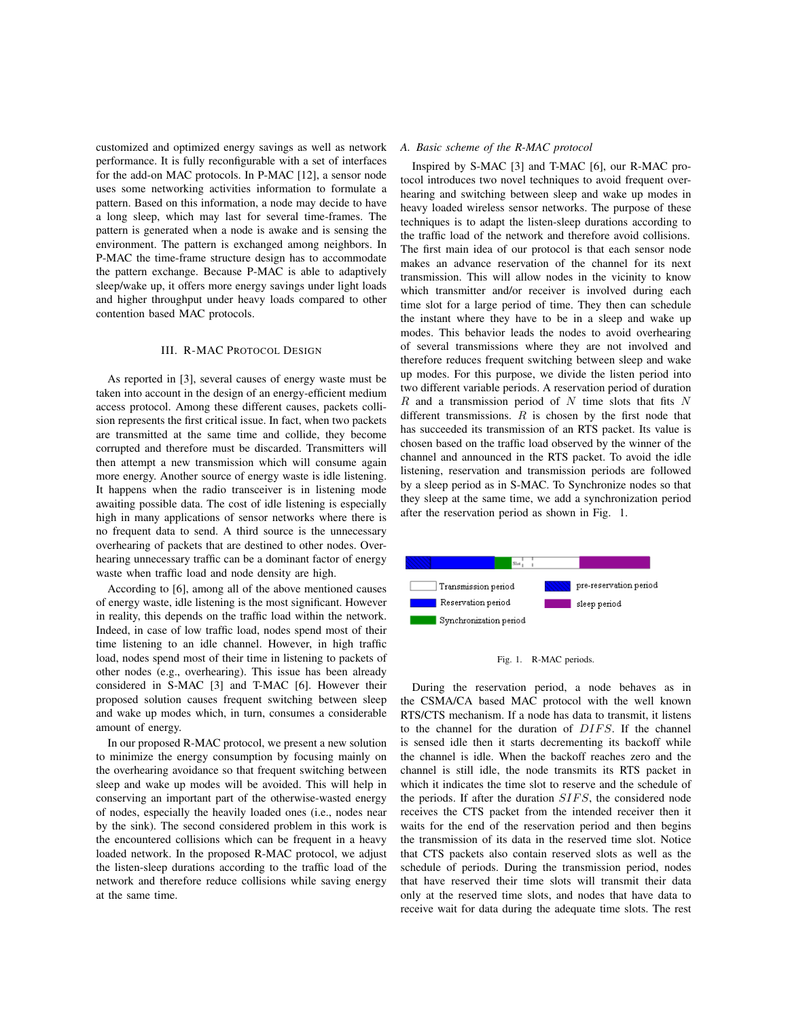customized and optimized energy savings as well as network performance. It is fully reconfigurable with a set of interfaces for the add-on MAC protocols. In P-MAC [12], a sensor node uses some networking activities information to formulate a pattern. Based on this information, a node may decide to have a long sleep, which may last for several time-frames. The pattern is generated when a node is awake and is sensing the environment. The pattern is exchanged among neighbors. In P-MAC the time-frame structure design has to accommodate the pattern exchange. Because P-MAC is able to adaptively sleep/wake up, it offers more energy savings under light loads and higher throughput under heavy loads compared to other contention based MAC protocols.

## III. R-MAC PROTOCOL DESIGN

As reported in [3], several causes of energy waste must be taken into account in the design of an energy-efficient medium access protocol. Among these different causes, packets collision represents the first critical issue. In fact, when two packets are transmitted at the same time and collide, they become corrupted and therefore must be discarded. Transmitters will then attempt a new transmission which will consume again more energy. Another source of energy waste is idle listening. It happens when the radio transceiver is in listening mode awaiting possible data. The cost of idle listening is especially high in many applications of sensor networks where there is no frequent data to send. A third source is the unnecessary overhearing of packets that are destined to other nodes. Overhearing unnecessary traffic can be a dominant factor of energy waste when traffic load and node density are high.

According to [6], among all of the above mentioned causes of energy waste, idle listening is the most significant. However in reality, this depends on the traffic load within the network. Indeed, in case of low traffic load, nodes spend most of their time listening to an idle channel. However, in high traffic load, nodes spend most of their time in listening to packets of other nodes (e.g., overhearing). This issue has been already considered in S-MAC [3] and T-MAC [6]. However their proposed solution causes frequent switching between sleep and wake up modes which, in turn, consumes a considerable amount of energy.

In our proposed R-MAC protocol, we present a new solution to minimize the energy consumption by focusing mainly on the overhearing avoidance so that frequent switching between sleep and wake up modes will be avoided. This will help in conserving an important part of the otherwise-wasted energy of nodes, especially the heavily loaded ones (i.e., nodes near by the sink). The second considered problem in this work is the encountered collisions which can be frequent in a heavy loaded network. In the proposed R-MAC protocol, we adjust the listen-sleep durations according to the traffic load of the network and therefore reduce collisions while saving energy at the same time.

## *A. Basic scheme of the R-MAC protocol*

Inspired by S-MAC [3] and T-MAC [6], our R-MAC protocol introduces two novel techniques to avoid frequent overhearing and switching between sleep and wake up modes in heavy loaded wireless sensor networks. The purpose of these techniques is to adapt the listen-sleep durations according to the traffic load of the network and therefore avoid collisions. The first main idea of our protocol is that each sensor node makes an advance reservation of the channel for its next transmission. This will allow nodes in the vicinity to know which transmitter and/or receiver is involved during each time slot for a large period of time. They then can schedule the instant where they have to be in a sleep and wake up modes. This behavior leads the nodes to avoid overhearing of several transmissions where they are not involved and therefore reduces frequent switching between sleep and wake up modes. For this purpose, we divide the listen period into two different variable periods. A reservation period of duration *R* and a transmission period of *N* time slots that fits *N* different transmissions. *R* is chosen by the first node that has succeeded its transmission of an RTS packet. Its value is chosen based on the traffic load observed by the winner of the channel and announced in the RTS packet. To avoid the idle listening, reservation and transmission periods are followed by a sleep period as in S-MAC. To Synchronize nodes so that they sleep at the same time, we add a synchronization period after the reservation period as shown in Fig. 1.



## Fig. 1. R-MAC periods.

During the reservation period, a node behaves as in the CSMA/CA based MAC protocol with the well known RTS/CTS mechanism. If a node has data to transmit, it listens to the channel for the duration of *DIFS*. If the channel is sensed idle then it starts decrementing its backoff while the channel is idle. When the backoff reaches zero and the channel is still idle, the node transmits its RTS packet in which it indicates the time slot to reserve and the schedule of the periods. If after the duration *SIFS*, the considered node receives the CTS packet from the intended receiver then it waits for the end of the reservation period and then begins the transmission of its data in the reserved time slot. Notice that CTS packets also contain reserved slots as well as the schedule of periods. During the transmission period, nodes that have reserved their time slots will transmit their data only at the reserved time slots, and nodes that have data to receive wait for data during the adequate time slots. The rest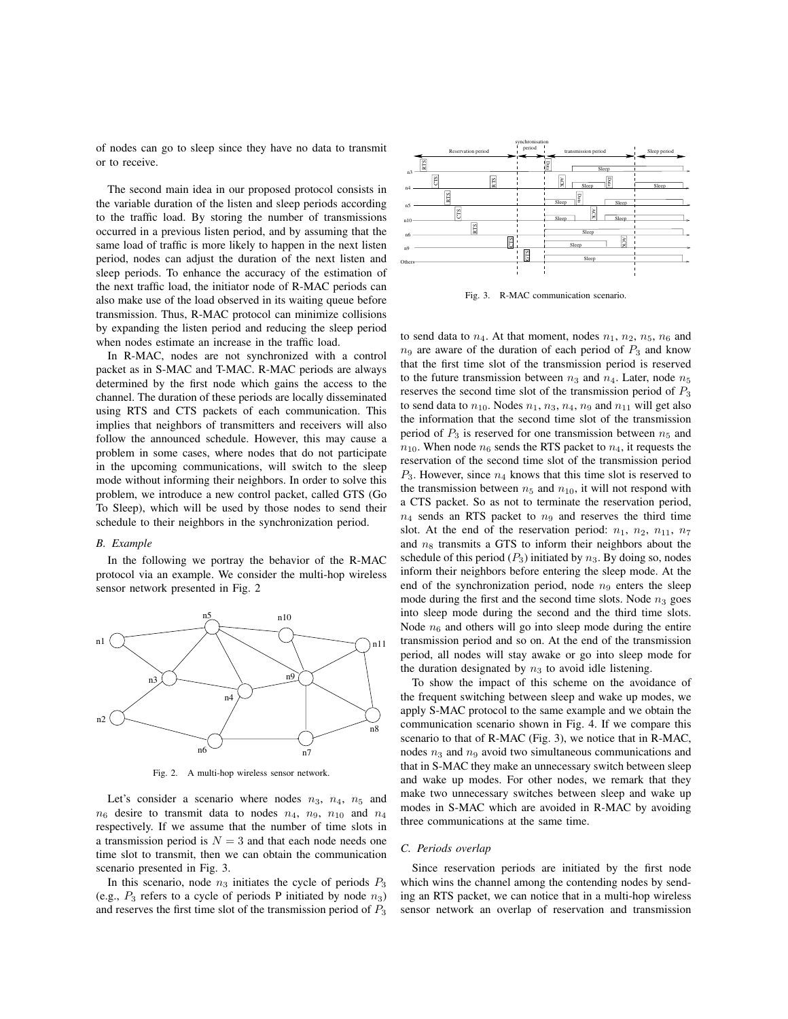of nodes can go to sleep since they have no data to transmit or to receive.

The second main idea in our proposed protocol consists in the variable duration of the listen and sleep periods according to the traffic load. By storing the number of transmissions occurred in a previous listen period, and by assuming that the same load of traffic is more likely to happen in the next listen period, nodes can adjust the duration of the next listen and sleep periods. To enhance the accuracy of the estimation of the next traffic load, the initiator node of R-MAC periods can also make use of the load observed in its waiting queue before transmission. Thus, R-MAC protocol can minimize collisions by expanding the listen period and reducing the sleep period when nodes estimate an increase in the traffic load.

In R-MAC, nodes are not synchronized with a control packet as in S-MAC and T-MAC. R-MAC periods are always determined by the first node which gains the access to the channel. The duration of these periods are locally disseminated using RTS and CTS packets of each communication. This implies that neighbors of transmitters and receivers will also follow the announced schedule. However, this may cause a problem in some cases, where nodes that do not participate in the upcoming communications, will switch to the sleep mode without informing their neighbors. In order to solve this problem, we introduce a new control packet, called GTS (Go To Sleep), which will be used by those nodes to send their schedule to their neighbors in the synchronization period.

## *B. Example*

In the following we portray the behavior of the R-MAC protocol via an example. We consider the multi-hop wireless sensor network presented in Fig. 2



Fig. 2. A multi-hop wireless sensor network.

Let's consider a scenario where nodes  $n_3$ ,  $n_4$ ,  $n_5$  and  $n_6$  desire to transmit data to nodes  $n_4$ ,  $n_9$ ,  $n_{10}$  and  $n_4$ respectively. If we assume that the number of time slots in a transmission period is  $N = 3$  and that each node needs one time slot to transmit, then we can obtain the communication scenario presented in Fig. 3.

In this scenario, node  $n_3$  initiates the cycle of periods  $P_3$ (e.g., *P*<sup>3</sup> refers to a cycle of periods P initiated by node *n*3) and reserves the first time slot of the transmission period of *P*<sup>3</sup>



Fig. 3. R-MAC communication scenario.

to send data to  $n_4$ . At that moment, nodes  $n_1$ ,  $n_2$ ,  $n_5$ ,  $n_6$  and  $n<sub>9</sub>$  are aware of the duration of each period of  $P<sub>3</sub>$  and know that the first time slot of the transmission period is reserved to the future transmission between  $n_3$  and  $n_4$ . Later, node  $n_5$ reserves the second time slot of the transmission period of *P*<sup>3</sup> to send data to  $n_{10}$ . Nodes  $n_1$ ,  $n_3$ ,  $n_4$ ,  $n_9$  and  $n_{11}$  will get also the information that the second time slot of the transmission period of  $P_3$  is reserved for one transmission between  $n_5$  and  $n_{10}$ . When node  $n_6$  sends the RTS packet to  $n_4$ , it requests the reservation of the second time slot of the transmission period *P*3. However, since *n*<sup>4</sup> knows that this time slot is reserved to the transmission between  $n_5$  and  $n_{10}$ , it will not respond with a CTS packet. So as not to terminate the reservation period,  $n_4$  sends an RTS packet to  $n_9$  and reserves the third time slot. At the end of the reservation period:  $n_1$ ,  $n_2$ ,  $n_{11}$ ,  $n_7$ and  $n_8$  transmits a GTS to inform their neighbors about the schedule of this period  $(P_3)$  initiated by  $n_3$ . By doing so, nodes inform their neighbors before entering the sleep mode. At the end of the synchronization period, node  $n<sub>9</sub>$  enters the sleep mode during the first and the second time slots. Node  $n_3$  goes into sleep mode during the second and the third time slots. Node  $n<sub>6</sub>$  and others will go into sleep mode during the entire transmission period and so on. At the end of the transmission period, all nodes will stay awake or go into sleep mode for the duration designated by  $n_3$  to avoid idle listening.

To show the impact of this scheme on the avoidance of the frequent switching between sleep and wake up modes, we apply S-MAC protocol to the same example and we obtain the communication scenario shown in Fig. 4. If we compare this scenario to that of R-MAC (Fig. 3), we notice that in R-MAC, nodes *n*<sup>3</sup> and *n*<sup>9</sup> avoid two simultaneous communications and that in S-MAC they make an unnecessary switch between sleep and wake up modes. For other nodes, we remark that they make two unnecessary switches between sleep and wake up modes in S-MAC which are avoided in R-MAC by avoiding three communications at the same time.

# *C. Periods overlap*

Since reservation periods are initiated by the first node which wins the channel among the contending nodes by sending an RTS packet, we can notice that in a multi-hop wireless sensor network an overlap of reservation and transmission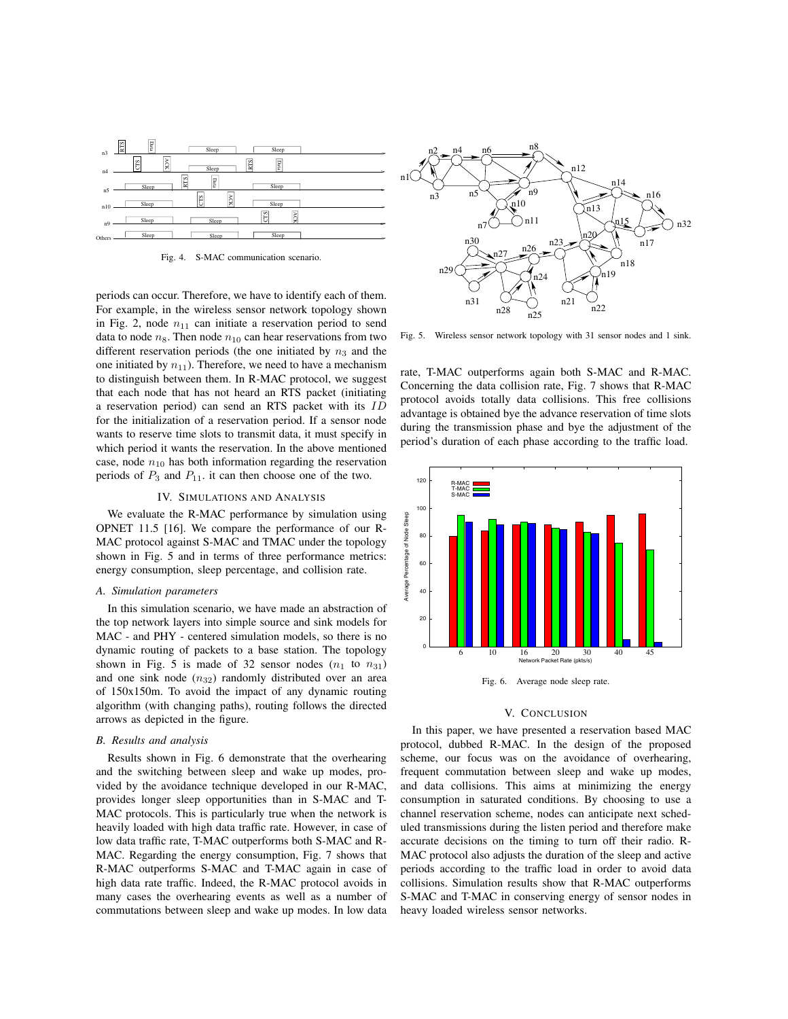

Fig. 4. S-MAC communication scenario

periods can occur. Therefore, we have to identify each of them. For example, in the wireless sensor network topology shown in Fig. 2, node  $n_{11}$  can initiate a reservation period to send data to node  $n_8$ . Then node  $n_{10}$  can hear reservations from two different reservation periods (the one initiated by  $n_3$  and the one initiated by  $n_{11}$ ). Therefore, we need to have a mechanism to distinguish between them. In R-MAC protocol, we suggest that each node that has not heard an RTS packet (initiating a reservation period) can send an RTS packet with its *ID* for the initialization of a reservation period. If a sensor node wants to reserve time slots to transmit data, it must specify in which period it wants the reservation. In the above mentioned case, node  $n_{10}$  has both information regarding the reservation periods of  $P_3$  and  $P_{11}$ , it can then choose one of the two.

#### IV. SIMULATIONS AND ANALYSIS

We evaluate the R-MAC performance by simulation using OPNET 11.5 [16]. We compare the performance of our R-MAC protocol against S-MAC and TMAC under the topology shown in Fig. 5 and in terms of three performance metrics: energy consumption, sleep percentage, and collision rate.

# *A. Simulation parameters*

In this simulation scenario, we have made an abstraction of the top network layers into simple source and sink models for MAC - and PHY - centered simulation models, so there is no dynamic routing of packets to a base station. The topology shown in Fig. 5 is made of 32 sensor nodes  $(n_1 \text{ to } n_{31})$ and one sink node ( $n_{32}$ ) randomly distributed over an area of 150x150m. To avoid the impact of any dynamic routing algorithm (with changing paths), routing follows the directed arrows as depicted in the figure.

# *B. Results and analysis*

Results shown in Fig. 6 demonstrate that the overhearing and the switching between sleep and wake up modes, provided by the avoidance technique developed in our R-MAC, provides longer sleep opportunities than in S-MAC and T-MAC protocols. This is particularly true when the network is heavily loaded with high data traffic rate. However, in case of low data traffic rate, T-MAC outperforms both S-MAC and R-MAC. Regarding the energy consumption, Fig. 7 shows that R-MAC outperforms S-MAC and T-MAC again in case of high data rate traffic. Indeed, the R-MAC protocol avoids in many cases the overhearing events as well as a number of commutations between sleep and wake up modes. In low data



Fig. 5. Wireless sensor network topology with 31 sensor nodes and 1 sink.

rate, T-MAC outperforms again both S-MAC and R-MAC. Concerning the data collision rate, Fig. 7 shows that R-MAC protocol avoids totally data collisions. This free collisions advantage is obtained bye the advance reservation of time slots during the transmission phase and bye the adjustment of the period's duration of each phase according to the traffic load.



## V. CONCLUSION

In this paper, we have presented a reservation based MAC protocol, dubbed R-MAC. In the design of the proposed scheme, our focus was on the avoidance of overhearing, frequent commutation between sleep and wake up modes, and data collisions. This aims at minimizing the energy consumption in saturated conditions. By choosing to use a channel reservation scheme, nodes can anticipate next scheduled transmissions during the listen period and therefore make accurate decisions on the timing to turn off their radio. R-MAC protocol also adjusts the duration of the sleep and active periods according to the traffic load in order to avoid data collisions. Simulation results show that R-MAC outperforms S-MAC and T-MAC in conserving energy of sensor nodes in heavy loaded wireless sensor networks.